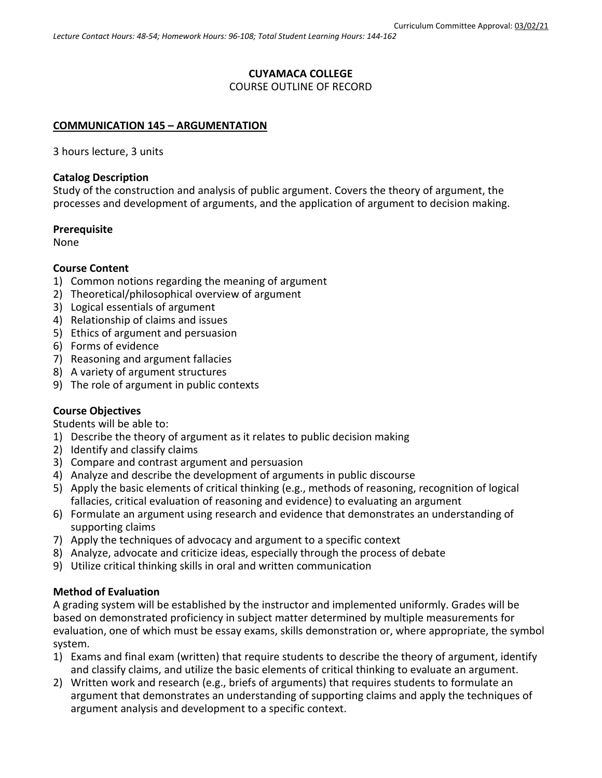# **CUYAMACA COLLEGE**

# COURSE OUTLINE OF RECORD

# **COMMUNICATION 145 – ARGUMENTATION**

3 hours lecture, 3 units

# **Catalog Description**

Study of the construction and analysis of public argument. Covers the theory of argument, the processes and development of arguments, and the application of argument to decision making.

### **Prerequisite**

None

# **Course Content**

- 1) Common notions regarding the meaning of argument
- 2) Theoretical/philosophical overview of argument
- 3) Logical essentials of argument
- 4) Relationship of claims and issues
- 5) Ethics of argument and persuasion
- 6) Forms of evidence
- 7) Reasoning and argument fallacies
- 8) A variety of argument structures
- 9) The role of argument in public contexts

# **Course Objectives**

Students will be able to:

- 1) Describe the theory of argument as it relates to public decision making
- 2) Identify and classify claims
- 3) Compare and contrast argument and persuasion
- 4) Analyze and describe the development of arguments in public discourse
- 5) Apply the basic elements of critical thinking (e.g., methods of reasoning, recognition of logical fallacies, critical evaluation of reasoning and evidence) to evaluating an argument
- 6) Formulate an argument using research and evidence that demonstrates an understanding of supporting claims
- 7) Apply the techniques of advocacy and argument to a specific context
- 8) Analyze, advocate and criticize ideas, especially through the process of debate
- 9) Utilize critical thinking skills in oral and written communication

# **Method of Evaluation**

A grading system will be established by the instructor and implemented uniformly. Grades will be based on demonstrated proficiency in subject matter determined by multiple measurements for evaluation, one of which must be essay exams, skills demonstration or, where appropriate, the symbol system.

- 1) Exams and final exam (written) that require students to describe the theory of argument, identify and classify claims, and utilize the basic elements of critical thinking to evaluate an argument.
- 2) Written work and research (e.g., briefs of arguments) that requires students to formulate an argument that demonstrates an understanding of supporting claims and apply the techniques of argument analysis and development to a specific context.